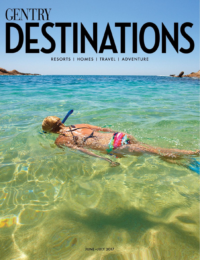## **GENTRY** DESTINATIONS RESORTS | HOMES | TRAVEL | ADVENTURE

**CASK CONTROL**